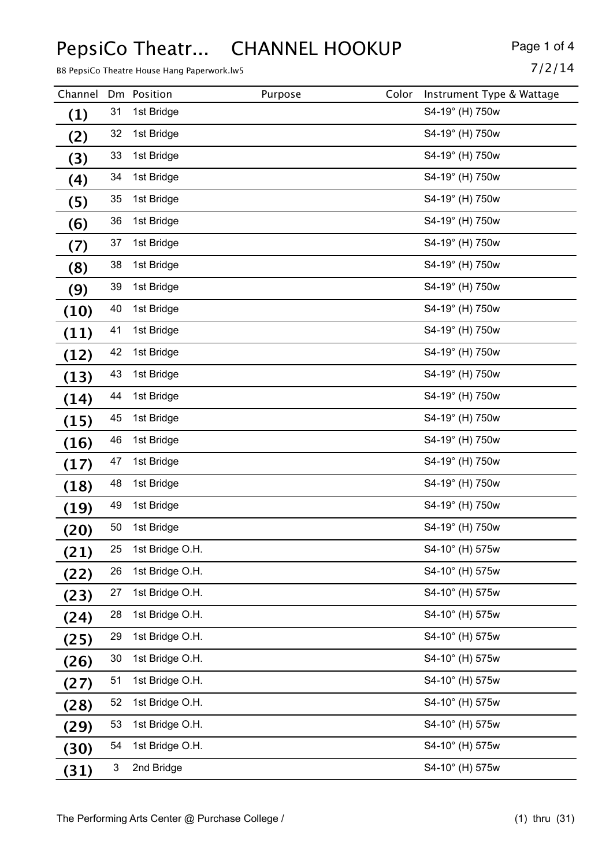### PepsiCo Theatr... CHANNEL HOOKUP Page 1 of 4

B8 PepsiCo Theatre House Hang Paperwork.lw5 7/2/14

| Channel           | Dm | Position        | Purpose | Color | Instrument Type & Wattage |
|-------------------|----|-----------------|---------|-------|---------------------------|
| $\left( 1\right)$ | 31 | 1st Bridge      |         |       | S4-19° (H) 750w           |
| (2)               | 32 | 1st Bridge      |         |       | S4-19° (H) 750w           |
| (3)               | 33 | 1st Bridge      |         |       | S4-19° (H) 750w           |
| $\left( 4\right)$ | 34 | 1st Bridge      |         |       | S4-19° (H) 750w           |
| (5)               | 35 | 1st Bridge      |         |       | S4-19° (H) 750w           |
| (6)               | 36 | 1st Bridge      |         |       | S4-19° (H) 750w           |
| (7)               | 37 | 1st Bridge      |         |       | S4-19° (H) 750w           |
| (8)               | 38 | 1st Bridge      |         |       | S4-19° (H) 750w           |
| (9)               | 39 | 1st Bridge      |         |       | S4-19° (H) 750w           |
| (10)              | 40 | 1st Bridge      |         |       | S4-19° (H) 750w           |
| (11)              | 41 | 1st Bridge      |         |       | S4-19° (H) 750w           |
| (12)              | 42 | 1st Bridge      |         |       | S4-19° (H) 750w           |
| (13)              | 43 | 1st Bridge      |         |       | S4-19° (H) 750w           |
| (14)              | 44 | 1st Bridge      |         |       | S4-19° (H) 750w           |
| (15)              | 45 | 1st Bridge      |         |       | S4-19° (H) 750w           |
| (16)              | 46 | 1st Bridge      |         |       | S4-19° (H) 750w           |
| (17)              | 47 | 1st Bridge      |         |       | S4-19° (H) 750w           |
| (18)              | 48 | 1st Bridge      |         |       | S4-19° (H) 750w           |
| (19)              | 49 | 1st Bridge      |         |       | S4-19° (H) 750w           |
| (20)              | 50 | 1st Bridge      |         |       | S4-19° (H) 750w           |
| (21)              | 25 | 1st Bridge O.H. |         |       | S4-10° (H) 575w           |
| (22)              | 26 | 1st Bridge O.H. |         |       | S4-10° (H) 575w           |
| (23)              | 27 | 1st Bridge O.H. |         |       | S4-10° (H) 575w           |
| (24)              | 28 | 1st Bridge O.H. |         |       | S4-10° (H) 575w           |
| (25)              | 29 | 1st Bridge O.H. |         |       | S4-10° (H) 575w           |
| (26)              | 30 | 1st Bridge O.H. |         |       | S4-10° (H) 575w           |
| (27)              | 51 | 1st Bridge O.H. |         |       | S4-10° (H) 575w           |
| (28)              | 52 | 1st Bridge O.H. |         |       | S4-10° (H) 575w           |
| (29)              | 53 | 1st Bridge O.H. |         |       | S4-10° (H) 575w           |
| (30)              | 54 | 1st Bridge O.H. |         |       | S4-10° (H) 575w           |
| (31)              | 3  | 2nd Bridge      |         |       | S4-10° (H) 575w           |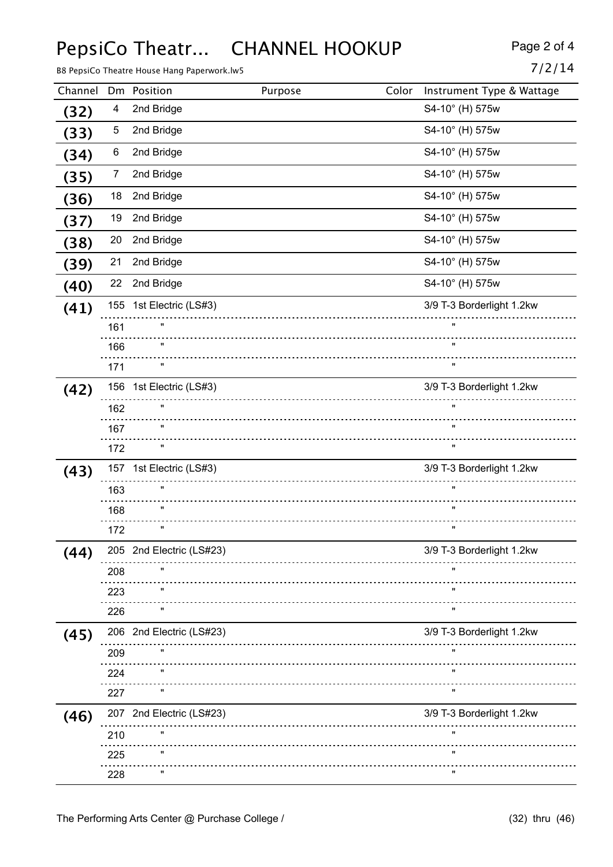### PepsiCo Theatr... CHANNEL HOOKUP Page 2 of 4

B8 PepsiCo Theatre House Hang Paperwork.lw5  $7/2/14$ 

|--|--|--|--|--|

| Channel |                | Dm Position              | Purpose | Color | Instrument Type & Wattage |
|---------|----------------|--------------------------|---------|-------|---------------------------|
| (32)    | 4              | 2nd Bridge               |         |       | S4-10° (H) 575w           |
| (33)    | 5              | 2nd Bridge               |         |       | S4-10° (H) 575w           |
| (34)    | 6              | 2nd Bridge               |         |       | S4-10° (H) 575w           |
| (35)    | $\overline{7}$ | 2nd Bridge               |         |       | S4-10° (H) 575w           |
| (36)    | 18             | 2nd Bridge               |         |       | S4-10° (H) 575w           |
| (37)    | 19             | 2nd Bridge               |         |       | S4-10° (H) 575w           |
| (38)    | 20             | 2nd Bridge               |         |       | S4-10° (H) 575w           |
| (39)    | 21             | 2nd Bridge               |         |       | S4-10° (H) 575w           |
| (40)    | 22             | 2nd Bridge               |         |       | S4-10° (H) 575w           |
| (41)    |                | 155 1st Electric (LS#3)  |         |       | 3/9 T-3 Borderlight 1.2kw |
|         | 161            |                          |         |       | $\mathbf{u}$              |
|         | 166            |                          |         |       | $\mathbf{u}$              |
|         | 171            | $\pmb{\mathsf{H}}$       |         |       | π.                        |
| (42)    |                | 156 1st Electric (LS#3)  |         |       | 3/9 T-3 Borderlight 1.2kw |
|         | 162            | $\pmb{\mathsf{H}}$       |         |       | $\mathbf{u}$              |
|         | 167            |                          |         |       |                           |
|         | 172            | $\pmb{\mathsf{H}}$       |         |       | $\pmb{\mathfrak{m}}$      |
| (43)    | 157            | 1st Electric (LS#3)      |         |       | 3/9 T-3 Borderlight 1.2kw |
|         | 163            |                          |         |       |                           |
|         | 168            |                          |         |       | $\pmb{\mathrm{u}}$        |
|         | 172            | $\pmb{\mathsf{H}}$       |         |       | $\pmb{\mathsf{u}}$        |
| (44)    |                | 205 2nd Electric (LS#23) |         |       | 3/9 T-3 Borderlight 1.2kw |
|         | 208            |                          |         |       |                           |
|         | 223            |                          |         |       | π                         |
|         | 226            |                          |         |       |                           |
| (45)    | 206            | 2nd Electric (LS#23)     |         |       | 3/9 T-3 Borderlight 1.2kw |
|         | 209            |                          |         |       | π                         |
|         | 224            |                          |         |       |                           |
|         | 227            |                          |         |       |                           |
| (46)    | 207            | 2nd Electric (LS#23)     |         |       | 3/9 T-3 Borderlight 1.2kw |
|         | 210            |                          |         |       |                           |
|         | 225            |                          |         |       |                           |
|         | 228            |                          |         |       | W                         |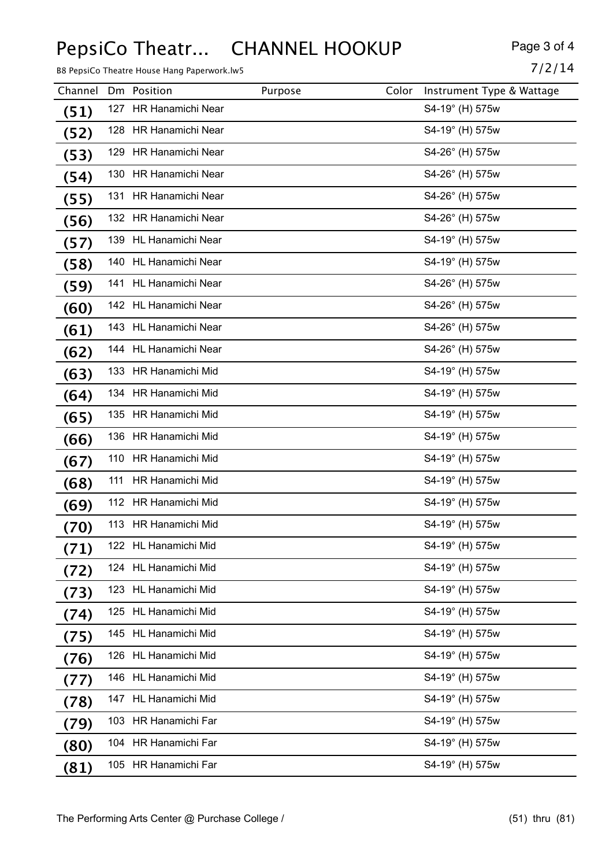# PepsiCo Theatr... CHANNEL HOOKUP Page 3 of 4

B8 PepsiCo Theatre House Hang Paperwork.lw5 7/2/14

| Channel |     | Dm Position             | Purpose | Color | Instrument Type & Wattage |
|---------|-----|-------------------------|---------|-------|---------------------------|
| (51)    | 127 | HR Hanamichi Near       |         |       | S4-19° (H) 575w           |
| (52)    |     | 128 HR Hanamichi Near   |         |       | S4-19° (H) 575w           |
| (53)    |     | 129 HR Hanamichi Near   |         |       | S4-26° (H) 575w           |
| (54)    |     | 130 HR Hanamichi Near   |         |       | S4-26° (H) 575w           |
| (55)    |     | 131 HR Hanamichi Near   |         |       | S4-26° (H) 575w           |
| (56)    |     | 132 HR Hanamichi Near   |         |       | S4-26° (H) 575w           |
| (57)    |     | 139 HL Hanamichi Near   |         |       | S4-19° (H) 575w           |
| (58)    |     | 140 HL Hanamichi Near   |         |       | S4-19° (H) 575w           |
| (59)    |     | 141 HL Hanamichi Near   |         |       | S4-26° (H) 575w           |
| (60)    |     | 142 HL Hanamichi Near   |         |       | S4-26° (H) 575w           |
| (61)    |     | 143 HL Hanamichi Near   |         |       | S4-26° (H) 575w           |
| (62)    |     | 144 HL Hanamichi Near   |         |       | S4-26° (H) 575w           |
| (63)    |     | 133 HR Hanamichi Mid    |         |       | S4-19° (H) 575w           |
| (64)    |     | 134 HR Hanamichi Mid    |         |       | S4-19° (H) 575w           |
| (65)    |     | 135 HR Hanamichi Mid    |         |       | S4-19° (H) 575w           |
| (66)    |     | 136 HR Hanamichi Mid    |         |       | S4-19° (H) 575w           |
| (67)    |     | 110 HR Hanamichi Mid    |         |       | S4-19° (H) 575w           |
| (68)    | 111 | HR Hanamichi Mid        |         |       | S4-19° (H) 575w           |
| (69)    |     | 112 HR Hanamichi Mid    |         |       | S4-19° (H) 575w           |
| (70)    |     | 113 HR Hanamichi Mid    |         |       | S4-19° (H) 575w           |
| (71)    |     | 122 HL Hanamichi Mid    |         |       | S4-19° (H) 575w           |
| (72)    | 124 | <b>HL Hanamichi Mid</b> |         |       | S4-19° (H) 575w           |
| (73)    | 123 | <b>HL Hanamichi Mid</b> |         |       | S4-19° (H) 575w           |
| (74)    |     | 125 HL Hanamichi Mid    |         |       | S4-19° (H) 575w           |
| (75)    | 145 | HL Hanamichi Mid        |         |       | S4-19° (H) 575w           |
| (76)    | 126 | <b>HL Hanamichi Mid</b> |         |       | S4-19° (H) 575w           |
| (77)    |     | 146 HL Hanamichi Mid    |         |       | S4-19° (H) 575w           |
| (78)    |     | 147 HL Hanamichi Mid    |         |       | S4-19° (H) 575w           |
| (79)    |     | 103 HR Hanamichi Far    |         |       | S4-19° (H) 575w           |
| (80)    |     | 104 HR Hanamichi Far    |         |       | S4-19° (H) 575w           |
| (81)    |     | 105 HR Hanamichi Far    |         |       | S4-19° (H) 575w           |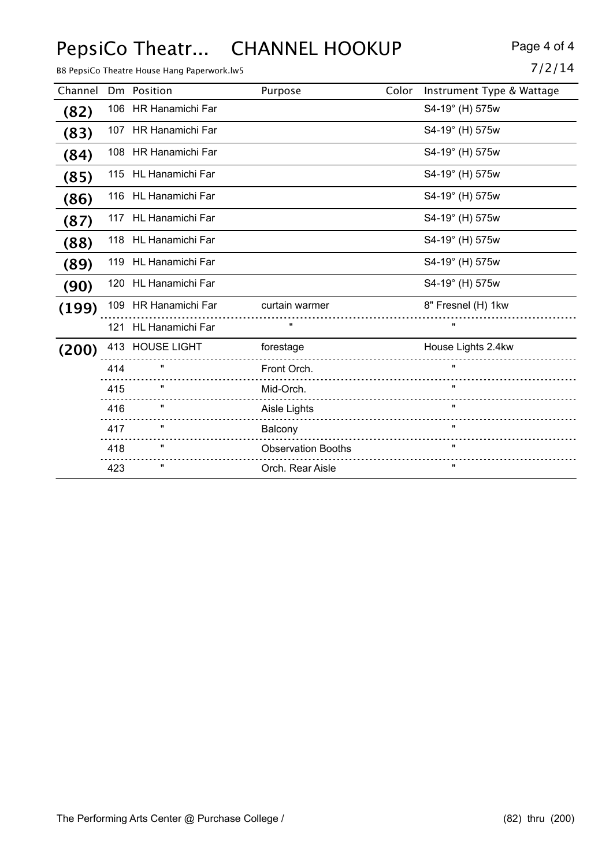# PepsiCo Theatr... CHANNEL HOOKUP Page 4 of 4

|         |     | B8 PepsiCo Theatre House Hang Paperwork.lw5 |                           |                           | 7/2/14 |
|---------|-----|---------------------------------------------|---------------------------|---------------------------|--------|
| Channel |     | Dm Position                                 | Color<br>Purpose          | Instrument Type & Wattage |        |
| (82)    |     | 106 HR Hanamichi Far                        |                           | S4-19° (H) 575w           |        |
| (83)    |     | 107 HR Hanamichi Far                        |                           | S4-19° (H) 575w           |        |
| (84)    |     | 108 HR Hanamichi Far                        |                           | S4-19° (H) 575w           |        |
| (85)    |     | 115 HL Hanamichi Far                        |                           | S4-19° (H) 575w           |        |
| (86)    |     | 116 HL Hanamichi Far                        |                           | S4-19° (H) 575w           |        |
| (87)    |     | 117 HL Hanamichi Far                        |                           | S4-19° (H) 575w           |        |
| (88)    |     | 118 HL Hanamichi Far                        |                           | S4-19° (H) 575w           |        |
| (89)    |     | 119 HL Hanamichi Far                        |                           | S4-19° (H) 575w           |        |
| (90)    |     | 120 HL Hanamichi Far                        |                           | S4-19° (H) 575w           |        |
| (199)   |     | 109 HR Hanamichi Far                        | curtain warmer            | 8" Fresnel (H) 1kw        |        |
|         |     | 121 HL Hanamichi Far                        | w                         | $\mathbf{u}$              |        |
| (200)   |     | 413 HOUSE LIGHT                             | forestage                 | House Lights 2.4kw        |        |
|         | 414 | $\pmb{\mathsf{H}}$                          | Front Orch.               | $\mathbf{u}$              |        |
|         | 415 | $\mathbf{u}$                                | Mid-Orch.                 |                           |        |
|         | 416 | $\pmb{\mathsf{H}}$                          | Aisle Lights              | $\mathbf{u}$              |        |
|         | 417 | $\mathbf{u}$                                | Balcony                   | $\mathbf{u}$              |        |
|         | 418 | Ħ                                           | <b>Observation Booths</b> | $\mathbf{H}$              |        |
|         | 423 | $\pmb{\mathsf{H}}$                          | Orch. Rear Aisle          | $\mathbf{u}$              |        |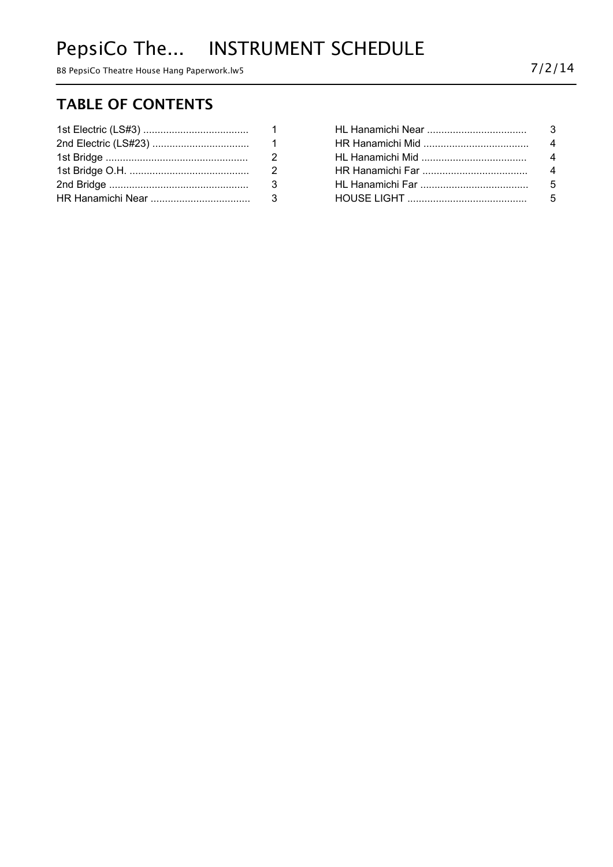# PepsiCo The... INSTRUMENT SCHEDULE

B8 PepsiCo Theatre House Hang Paperwork.lw5 7/2/14

#### **TABLE OF CONTENTS**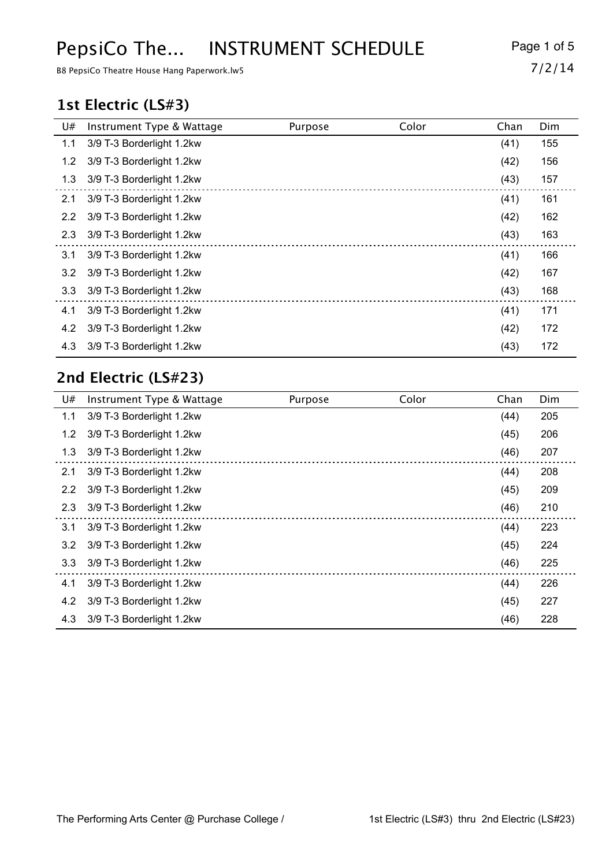# PepsiCo The... INSTRUMENT SCHEDULE Page 1 of 5

B8 PepsiCo Theatre House Hang Paperwork.lw5 7/2/14

#### **1st Electric (LS#3)**

| U#  | Instrument Type & Wattage | Purpose | Color | Chan | Dim |
|-----|---------------------------|---------|-------|------|-----|
| 1.1 | 3/9 T-3 Borderlight 1.2kw |         |       | (41) | 155 |
| 1.2 | 3/9 T-3 Borderlight 1.2kw |         |       | (42) | 156 |
| 1.3 | 3/9 T-3 Borderlight 1.2kw |         |       | (43) | 157 |
| 2.1 | 3/9 T-3 Borderlight 1.2kw |         |       | (41) | 161 |
| 2.2 | 3/9 T-3 Borderlight 1.2kw |         |       | (42) | 162 |
| 2.3 | 3/9 T-3 Borderlight 1.2kw |         |       | (43) | 163 |
| 3.1 | 3/9 T-3 Borderlight 1.2kw |         |       | (41) | 166 |
| 3.2 | 3/9 T-3 Borderlight 1.2kw |         |       | (42) | 167 |
| 3.3 | 3/9 T-3 Borderlight 1.2kw |         |       | (43) | 168 |
| 4.1 | 3/9 T-3 Borderlight 1.2kw |         |       | (41) | 171 |
| 4.2 | 3/9 T-3 Borderlight 1.2kw |         |       | (42) | 172 |
| 4.3 | 3/9 T-3 Borderlight 1.2kw |         |       | (43) | 172 |

#### **2nd Electric (LS#23)**

| U#  | Instrument Type & Wattage | Purpose | Color | Chan | Dim |
|-----|---------------------------|---------|-------|------|-----|
| 1.1 | 3/9 T-3 Borderlight 1.2kw |         |       | (44) | 205 |
| 1.2 | 3/9 T-3 Borderlight 1.2kw |         |       | (45) | 206 |
| 1.3 | 3/9 T-3 Borderlight 1.2kw |         |       | (46) | 207 |
| 2.1 | 3/9 T-3 Borderlight 1.2kw |         |       | (44) | 208 |
| 2.2 | 3/9 T-3 Borderlight 1.2kw |         |       | (45) | 209 |
| 2.3 | 3/9 T-3 Borderlight 1.2kw |         |       | (46) | 210 |
| 3.1 | 3/9 T-3 Borderlight 1.2kw |         |       | (44) | 223 |
| 3.2 | 3/9 T-3 Borderlight 1.2kw |         |       | (45) | 224 |
| 3.3 | 3/9 T-3 Borderlight 1.2kw |         |       | (46) | 225 |
| 4.1 | 3/9 T-3 Borderlight 1.2kw |         |       | (44) | 226 |
| 4.2 | 3/9 T-3 Borderlight 1.2kw |         |       | (45) | 227 |
| 4.3 | 3/9 T-3 Borderlight 1.2kw |         |       | (46) | 228 |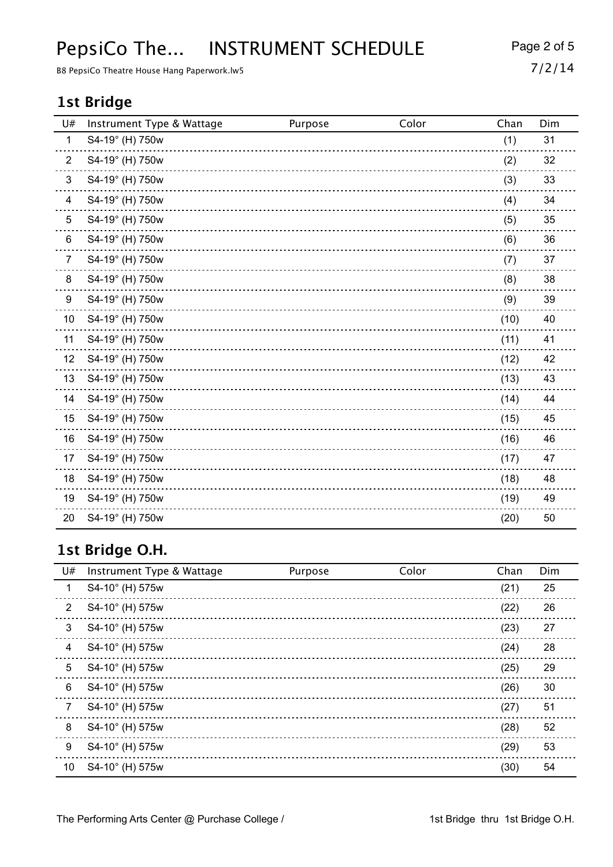### PepsiCo The... INSTRUMENT SCHEDULE Page 2 of 5

B8 PepsiCo Theatre House Hang Paperwork.lw5 7/2/14

#### **1st Bridge**

| U#             | Instrument Type & Wattage | Purpose | Color | Chan | Dim |
|----------------|---------------------------|---------|-------|------|-----|
| $\mathbf{1}$   | S4-19° (H) 750w           |         |       | (1)  | 31  |
| $\overline{2}$ | S4-19° (H) 750w           |         |       | (2)  | 32  |
| 3              | S4-19° (H) 750w           |         |       | (3)  | 33  |
| 4              | S4-19° (H) 750w           |         |       | (4)  | 34  |
| 5              | S4-19° (H) 750w           |         |       | (5)  | 35  |
| 6              | S4-19° (H) 750w           |         |       | (6)  | 36  |
| $\overline{7}$ | S4-19° (H) 750w           |         |       | (7)  | 37  |
| 8              | S4-19° (H) 750w           |         |       | (8)  | 38  |
| 9              | S4-19° (H) 750w           |         |       | (9)  | 39  |
| 10             | S4-19° (H) 750w           |         |       | (10) | 40  |
| 11             | S4-19° (H) 750w           |         |       | (11) | 41  |
| 12             | S4-19° (H) 750w           |         |       | (12) | 42  |
| 13             | S4-19° (H) 750w           |         |       | (13) | 43  |
| 14             | S4-19° (H) 750w           |         |       | (14) | 44  |
| 15             | S4-19° (H) 750w           |         |       | (15) | 45  |
| 16             | S4-19° (H) 750w           |         |       | (16) | 46  |
| 17             | S4-19° (H) 750w           |         |       | (17) | 47  |
| 18             | S4-19° (H) 750w           |         |       | (18) | 48  |
| 19             | S4-19° (H) 750w           |         |       | (19) | 49  |
| 20             | S4-19° (H) 750w           |         |       | (20) | 50  |

### **1st Bridge O.H.**

| U# | Instrument Type & Wattage | Purpose | Color | Chan | Dim |
|----|---------------------------|---------|-------|------|-----|
| 1  | S4-10° (H) 575w           |         |       | (21) | 25  |
| 2  | S4-10° (H) 575w           |         |       | (22) | 26  |
| 3  | S4-10° (H) 575w           |         |       | (23) | 27  |
| 4  | S4-10° (H) 575w           |         |       | (24) | 28  |
| 5  | S4-10° (H) 575w           |         |       | (25) | 29  |
| 6  | S4-10° (H) 575w           |         |       | (26) | 30  |
| 7  | S4-10° (H) 575w           |         |       | (27) | 51  |
| 8  | S4-10° (H) 575w           |         |       | (28) | 52  |
| 9  | S4-10° (H) 575w           |         |       | (29) | 53  |
| 10 | S4-10° (H) 575w           |         |       | (30) | 54  |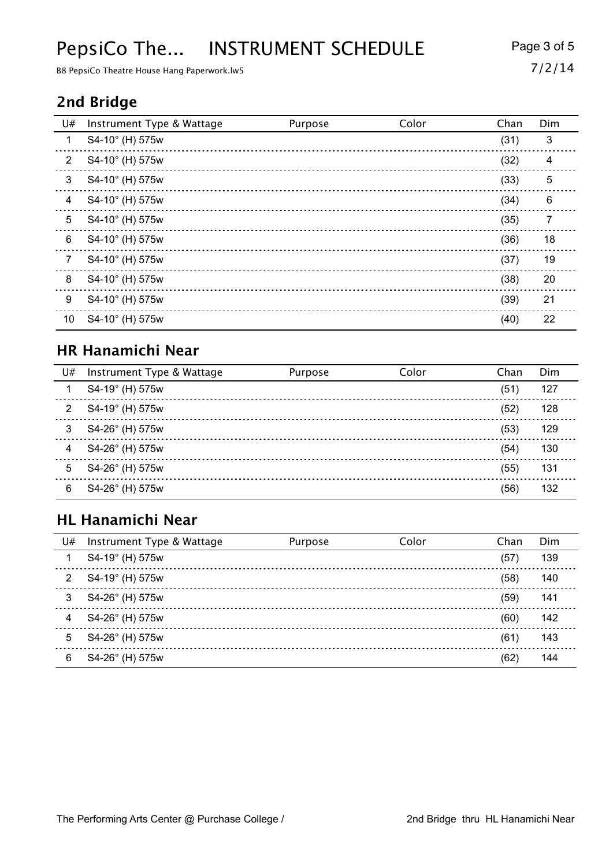# PepsiCo The... INSTRUMENT SCHEDULE Page 3 of 5

B8 PepsiCo Theatre House Hang Paperwork.lw5 7/2/14

#### **2nd Bridge**

| U#              | Instrument Type & Wattage | Purpose | Color | Chan | Dim |
|-----------------|---------------------------|---------|-------|------|-----|
| 1               | S4-10° (H) 575w           |         |       | (31) | 3   |
| $\overline{2}$  | S4-10° (H) 575w           |         |       | (32) | 4   |
| 3               | S4-10° (H) 575w           |         |       | (33) | 5   |
| 4               | S4-10° (H) 575w           |         |       | (34) | 6   |
| 5               | S4-10° (H) 575w           |         |       | (35) | 7   |
| 6               | S4-10° (H) 575w           |         |       | (36) | 18  |
| 7               | S4-10° (H) 575w           |         |       | (37) | 19  |
| 8               | S4-10° (H) 575w           |         |       | (38) | 20  |
| 9               | S4-10° (H) 575w           |         |       | (39) | 21  |
| 10 <sup>°</sup> | S4-10° (H) 575w           |         |       | (40) | 22  |

#### **HR Hanamichi Near**

| U# | Instrument Type & Wattage | Purpose | Color | Chan | Dim |
|----|---------------------------|---------|-------|------|-----|
|    | S4-19° (H) 575w           |         |       | (51) | 127 |
| 2  | S4-19° (H) 575w           |         |       | (52) | 128 |
| 3  | S4-26° (H) 575w           |         |       | (53) | 129 |
| 4  | S4-26° (H) 575w           |         |       | (54) | 130 |
| 5  | S4-26° (H) 575w           |         |       | (55) | 131 |
| 6  | S4-26° (H) 575w           |         |       | (56) | 132 |

### **HL Hanamichi Near**

| U#           | Instrument Type & Wattage | Purpose | Color | Chan | Dim |
|--------------|---------------------------|---------|-------|------|-----|
|              | S4-19° (H) 575w           |         |       | (57) | 139 |
| $\mathbf{2}$ | S4-19° (H) 575w           |         |       | (58) | 140 |
| 3            | S4-26° (H) 575w           |         |       | (59) | 141 |
| 4            | S4-26° (H) 575w           |         |       | (60) | 142 |
| 5            | S4-26° (H) 575w           |         |       | (61) | 143 |
| 6            | S4-26° (H) 575w           |         |       | (62  | 144 |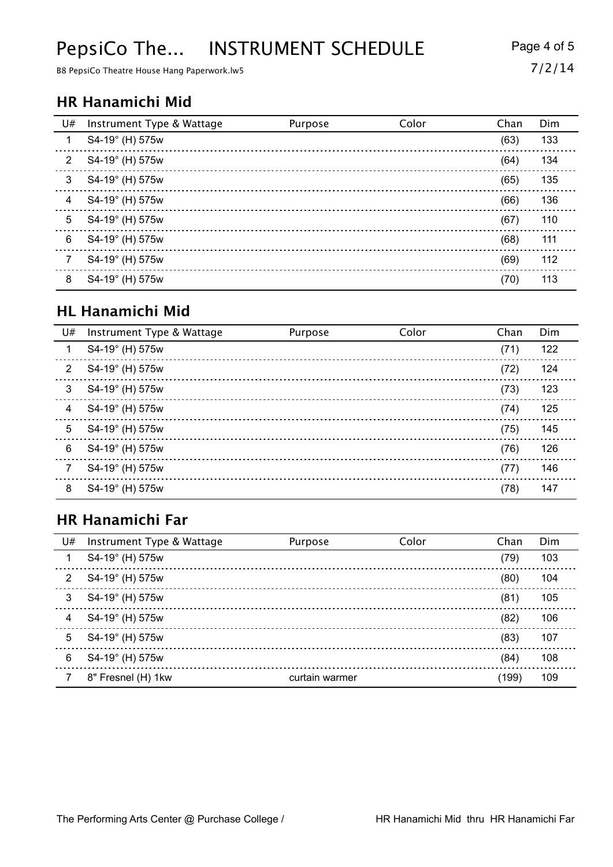# PepsiCo The... INSTRUMENT SCHEDULE Page 4 of 5

B8 PepsiCo Theatre House Hang Paperwork.lw5 7/2/14

#### **HR Hanamichi Mid**

| U#             | Instrument Type & Wattage | Purpose | Color | Chan | Dim |
|----------------|---------------------------|---------|-------|------|-----|
|                | S4-19° (H) 575w           |         |       | (63) | 133 |
| $\overline{2}$ | S4-19° (H) 575w           |         |       | (64) | 134 |
| 3              | S4-19° (H) 575w           |         |       | (65) | 135 |
| 4              | S4-19° (H) 575w           |         |       | (66) | 136 |
| 5              | S4-19° (H) 575w           |         |       | (67) | 110 |
| 6              | S4-19° (H) 575w           |         |       | (68) | 111 |
|                | S4-19° (H) 575w           |         |       | (69) | 112 |
| 8              | S4-19° (H) 575w           |         |       | (70) | 113 |

#### **HL Hanamichi Mid**

| U# | Instrument Type & Wattage | Purpose | Color | Chan | Dim |
|----|---------------------------|---------|-------|------|-----|
| 1  | S4-19° (H) 575w           |         |       | (71) | 122 |
| 2  | S4-19° (H) 575w           |         |       | (72) | 124 |
| 3  | S4-19° (H) 575w           |         |       | (73) | 123 |
| 4  | S4-19° (H) 575w           |         |       | (74) | 125 |
| 5  | S4-19° (H) 575w           |         |       | (75) | 145 |
| 6  | S4-19° (H) 575w           |         |       | (76) | 126 |
| 7  | S4-19° (H) 575w           |         |       | (77) | 146 |
| 8  | S4-19° (H) 575w           |         |       | (78) | 147 |

### **HR Hanamichi Far**

| U#             | Instrument Type & Wattage | Purpose        | Color | Chan  | Dim |
|----------------|---------------------------|----------------|-------|-------|-----|
|                | S4-19° (H) 575w           |                |       | (79)  | 103 |
| $\overline{2}$ | S4-19° (H) 575w           |                |       | (80)  | 104 |
| 3              | S4-19° (H) 575w           |                |       | (81)  | 105 |
| 4              | S4-19° (H) 575w           |                |       | (82)  | 106 |
| 5              | S4-19° (H) 575w           |                |       | (83)  | 107 |
| 6              | S4-19° (H) 575w           |                |       | (84)  | 108 |
|                | 8" Fresnel (H) 1kw        | curtain warmer |       | (199) | 109 |